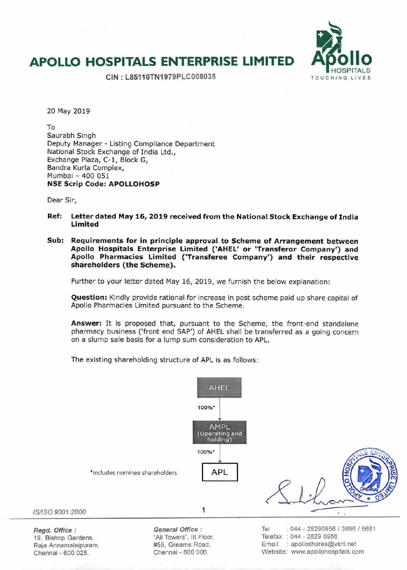## **APOLLO HOSPITALS ENTERPRISE LIMITED Apollo**



**CIN: L85110TN1979PLC008035** TOUCHING LIVES

20 May 2019

To Saurabh Singh Deputy Manager - Listing Compliance Department National Stock Exchange of India Ltd., Exchange Plaza, C-1, Block G, Bandra Kurla Complex, Mumbai - 400 051 **NSE Scrip Code: APOLLOHOSP** 

Dear Sir,

- **Ref: Letter dated May 16, 2019 received from the National Stock Exchange of India Limited**
- **Sub: Requirements for in principle approval to Scheme of Arrangement between Apollo Hospitals Enterprise Limited ('AHEL' or 'Transferor Company') and Apollo Pharmacies Limited ('Transferee Company') and their respective shareholders (the Scheme).**

Further to your letter dated May 16, 2019, we furnish the below explanation:

**Question:** Kindly provide rational for increase in post scheme paid up share capital of Apollo Pharmacies Limited pursuant to the Scheme.

**Answer:** It is proposed that, pursuant to the Scheme, the front-end standalone pharmacy business ('front end SAP') of AHEL shall be transferred as a going concern on a slump sale basis for a lump sum consideration to APL.

The existing shareholding structure of APL is as follows:



Raja Annamalaipuram, #55, Greams Road, Email : apolloshares@vsnl.net Chennai - 600 028. Chennai - 600 006. Website: www.apollohospitals.com